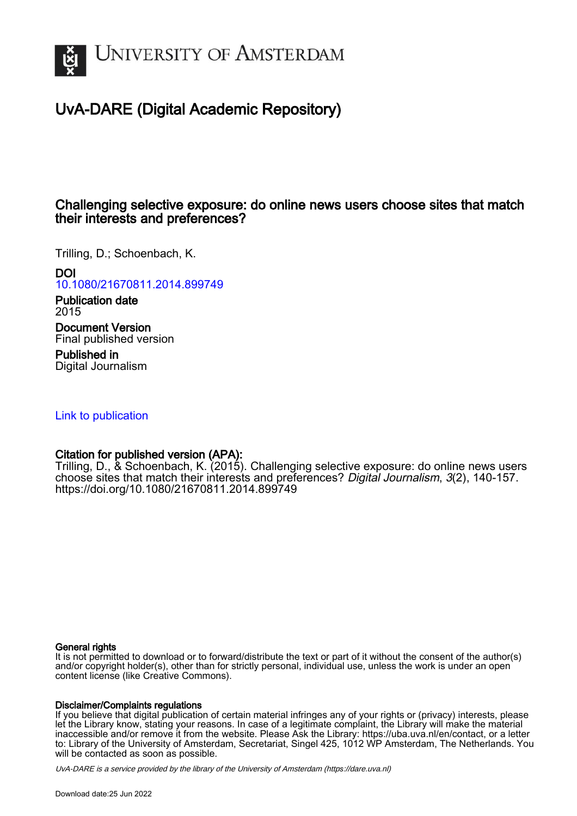

## UvA-DARE (Digital Academic Repository)

## Challenging selective exposure: do online news users choose sites that match their interests and preferences?

Trilling, D.; Schoenbach, K.

DOI

[10.1080/21670811.2014.899749](https://doi.org/10.1080/21670811.2014.899749)

Publication date 2015

Document Version Final published version

Published in Digital Journalism

[Link to publication](https://dare.uva.nl/personal/pure/en/publications/challenging-selective-exposure-do-online-news-users-choose-sites-that-match-their-interests-and-preferences(7b585b04-43b8-4143-9aa7-18f8a2f04e4c).html)

## Citation for published version (APA):

Trilling, D., & Schoenbach, K. (2015). Challenging selective exposure: do online news users choose sites that match their interests and preferences? Digital Journalism, 3(2), 140-157. <https://doi.org/10.1080/21670811.2014.899749>

#### General rights

It is not permitted to download or to forward/distribute the text or part of it without the consent of the author(s) and/or copyright holder(s), other than for strictly personal, individual use, unless the work is under an open content license (like Creative Commons).

#### Disclaimer/Complaints regulations

If you believe that digital publication of certain material infringes any of your rights or (privacy) interests, please let the Library know, stating your reasons. In case of a legitimate complaint, the Library will make the material inaccessible and/or remove it from the website. Please Ask the Library: https://uba.uva.nl/en/contact, or a letter to: Library of the University of Amsterdam, Secretariat, Singel 425, 1012 WP Amsterdam, The Netherlands. You will be contacted as soon as possible.

UvA-DARE is a service provided by the library of the University of Amsterdam (http*s*://dare.uva.nl)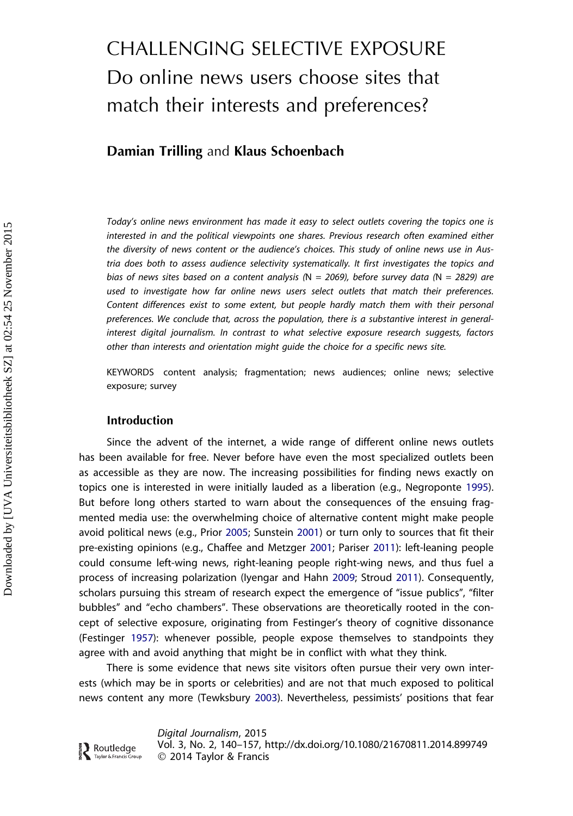# CHALLENGING SELECTIVE EXPOSURE Do online news users choose sites that match their interests and preferences?

### Damian Trilling and Klaus Schoenbach

Today's online news environment has made it easy to select outlets covering the topics one is interested in and the political viewpoints one shares. Previous research often examined either the diversity of news content or the audience's choices. This study of online news use in Austria does both to assess audience selectivity systematically. It first investigates the topics and bias of news sites based on a content analysis ( $N = 2069$ ), before survey data ( $N = 2829$ ) are used to investigate how far online news users select outlets that match their preferences. Content differences exist to some extent, but people hardly match them with their personal preferences. We conclude that, across the population, there is a substantive interest in generalinterest digital journalism. In contrast to what selective exposure research suggests, factors other than interests and orientation might guide the choice for a specific news site.

KEYWORDS content analysis; fragmentation; news audiences; online news; selective exposure; survey

#### Introduction

Routledge

Since the advent of the internet, a wide range of different online news outlets has been available for free. Never before have even the most specialized outlets been as accessible as they are now. The increasing possibilities for finding news exactly on topics one is interested in were initially lauded as a liberation (e.g., Negroponte [1995\)](#page-15-0). But before long others started to warn about the consequences of the ensuing fragmented media use: the overwhelming choice of alternative content might make people avoid political news (e.g., Prior [2005;](#page-15-0) Sunstein [2001](#page-15-0)) or turn only to sources that fit their pre-existing opinions (e.g., Chaffee and Metzger [2001](#page-13-0); Pariser [2011\)](#page-15-0): left-leaning people could consume left-wing news, right-leaning people right-wing news, and thus fuel a process of increasing polarization (Iyengar and Hahn [2009;](#page-14-0) Stroud [2011](#page-15-0)). Consequently, scholars pursuing this stream of research expect the emergence of "issue publics", "filter bubbles" and "echo chambers". These observations are theoretically rooted in the concept of selective exposure, originating from Festinger's theory of cognitive dissonance (Festinger [1957\)](#page-14-0): whenever possible, people expose themselves to standpoints they agree with and avoid anything that might be in conflict with what they think.

There is some evidence that news site visitors often pursue their very own interests (which may be in sports or celebrities) and are not that much exposed to political news content any more (Tewksbury [2003\)](#page-15-0). Nevertheless, pessimists' positions that fear

> Digital Journalism, 2015 Vol. 3, No. 2, 140–157, http://dx.doi.org/10.1080/21670811.2014.899749 2014 Taylor & Francis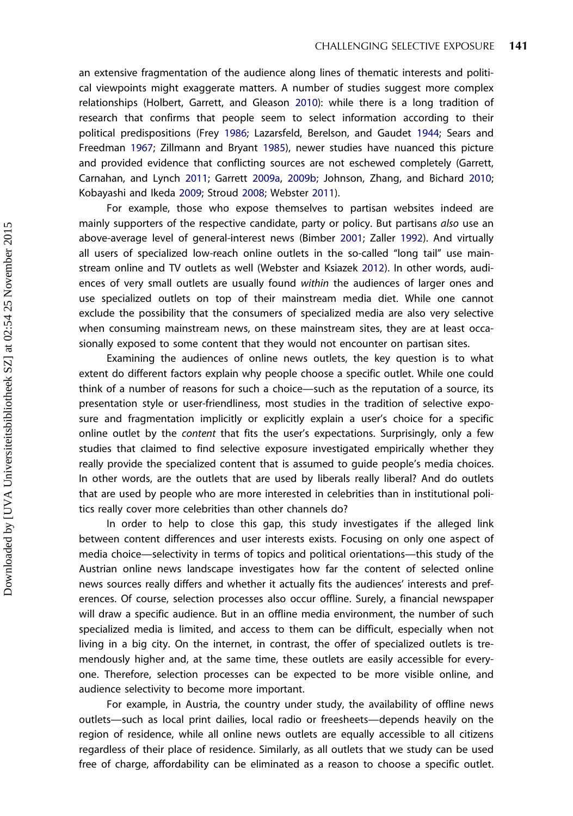an extensive fragmentation of the audience along lines of thematic interests and political viewpoints might exaggerate matters. A number of studies suggest more complex relationships (Holbert, Garrett, and Gleason [2010\)](#page-14-0): while there is a long tradition of research that confirms that people seem to select information according to their political predispositions (Frey [1986](#page-14-0); Lazarsfeld, Berelson, and Gaudet [1944](#page-14-0); Sears and Freedman [1967;](#page-15-0) Zillmann and Bryant [1985\)](#page-16-0), newer studies have nuanced this picture and provided evidence that conflicting sources are not eschewed completely (Garrett, Carnahan, and Lynch [2011;](#page-14-0) Garrett [2009a](#page-14-0), [2009b](#page-14-0); Johnson, Zhang, and Bichard [2010](#page-14-0); Kobayashi and Ikeda [2009;](#page-14-0) Stroud [2008;](#page-15-0) Webster [2011](#page-16-0)).

For example, those who expose themselves to partisan websites indeed are mainly supporters of the respective candidate, party or policy. But partisans also use an above-average level of general-interest news (Bimber [2001](#page-13-0); Zaller [1992](#page-16-0)). And virtually all users of specialized low-reach online outlets in the so-called "long tail" use mainstream online and TV outlets as well (Webster and Ksiazek [2012](#page-16-0)). In other words, audiences of very small outlets are usually found within the audiences of larger ones and use specialized outlets on top of their mainstream media diet. While one cannot exclude the possibility that the consumers of specialized media are also very selective when consuming mainstream news, on these mainstream sites, they are at least occasionally exposed to some content that they would not encounter on partisan sites.

Examining the audiences of online news outlets, the key question is to what extent do different factors explain why people choose a specific outlet. While one could think of a number of reasons for such a choice—such as the reputation of a source, its presentation style or user-friendliness, most studies in the tradition of selective exposure and fragmentation implicitly or explicitly explain a user's choice for a specific online outlet by the content that fits the user's expectations. Surprisingly, only a few studies that claimed to find selective exposure investigated empirically whether they really provide the specialized content that is assumed to guide people's media choices. In other words, are the outlets that are used by liberals really liberal? And do outlets that are used by people who are more interested in celebrities than in institutional politics really cover more celebrities than other channels do?

In order to help to close this gap, this study investigates if the alleged link between content differences and user interests exists. Focusing on only one aspect of media choice—selectivity in terms of topics and political orientations—this study of the Austrian online news landscape investigates how far the content of selected online news sources really differs and whether it actually fits the audiences' interests and preferences. Of course, selection processes also occur offline. Surely, a financial newspaper will draw a specific audience. But in an offline media environment, the number of such specialized media is limited, and access to them can be difficult, especially when not living in a big city. On the internet, in contrast, the offer of specialized outlets is tremendously higher and, at the same time, these outlets are easily accessible for everyone. Therefore, selection processes can be expected to be more visible online, and audience selectivity to become more important.

For example, in Austria, the country under study, the availability of offline news outlets—such as local print dailies, local radio or freesheets—depends heavily on the region of residence, while all online news outlets are equally accessible to all citizens regardless of their place of residence. Similarly, as all outlets that we study can be used free of charge, affordability can be eliminated as a reason to choose a specific outlet.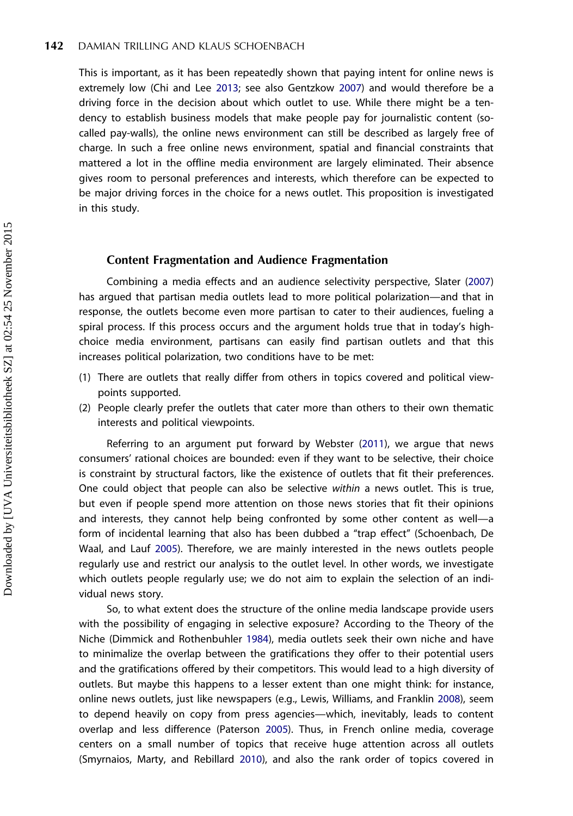This is important, as it has been repeatedly shown that paying intent for online news is extremely low (Chi and Lee [2013](#page-14-0); see also Gentzkow [2007](#page-14-0)) and would therefore be a driving force in the decision about which outlet to use. While there might be a tendency to establish business models that make people pay for journalistic content (socalled pay-walls), the online news environment can still be described as largely free of charge. In such a free online news environment, spatial and financial constraints that mattered a lot in the offline media environment are largely eliminated. Their absence gives room to personal preferences and interests, which therefore can be expected to be major driving forces in the choice for a news outlet. This proposition is investigated in this study.

#### Content Fragmentation and Audience Fragmentation

Combining a media effects and an audience selectivity perspective, Slater [\(2007\)](#page-15-0) has argued that partisan media outlets lead to more political polarization—and that in response, the outlets become even more partisan to cater to their audiences, fueling a spiral process. If this process occurs and the argument holds true that in today's highchoice media environment, partisans can easily find partisan outlets and that this increases political polarization, two conditions have to be met:

- (1) There are outlets that really differ from others in topics covered and political viewpoints supported.
- (2) People clearly prefer the outlets that cater more than others to their own thematic interests and political viewpoints.

Referring to an argument put forward by Webster ([2011](#page-16-0)), we argue that news consumers' rational choices are bounded: even if they want to be selective, their choice is constraint by structural factors, like the existence of outlets that fit their preferences. One could object that people can also be selective within a news outlet. This is true, but even if people spend more attention on those news stories that fit their opinions and interests, they cannot help being confronted by some other content as well—a form of incidental learning that also has been dubbed a "trap effect" (Schoenbach, De Waal, and Lauf [2005\)](#page-15-0). Therefore, we are mainly interested in the news outlets people regularly use and restrict our analysis to the outlet level. In other words, we investigate which outlets people regularly use; we do not aim to explain the selection of an individual news story.

So, to what extent does the structure of the online media landscape provide users with the possibility of engaging in selective exposure? According to the Theory of the Niche (Dimmick and Rothenbuhler [1984](#page-14-0)), media outlets seek their own niche and have to minimalize the overlap between the gratifications they offer to their potential users and the gratifications offered by their competitors. This would lead to a high diversity of outlets. But maybe this happens to a lesser extent than one might think: for instance, online news outlets, just like newspapers (e.g., Lewis, Williams, and Franklin [2008](#page-15-0)), seem to depend heavily on copy from press agencies—which, inevitably, leads to content overlap and less difference (Paterson [2005](#page-15-0)). Thus, in French online media, coverage centers on a small number of topics that receive huge attention across all outlets (Smyrnaios, Marty, and Rebillard [2010\)](#page-15-0), and also the rank order of topics covered in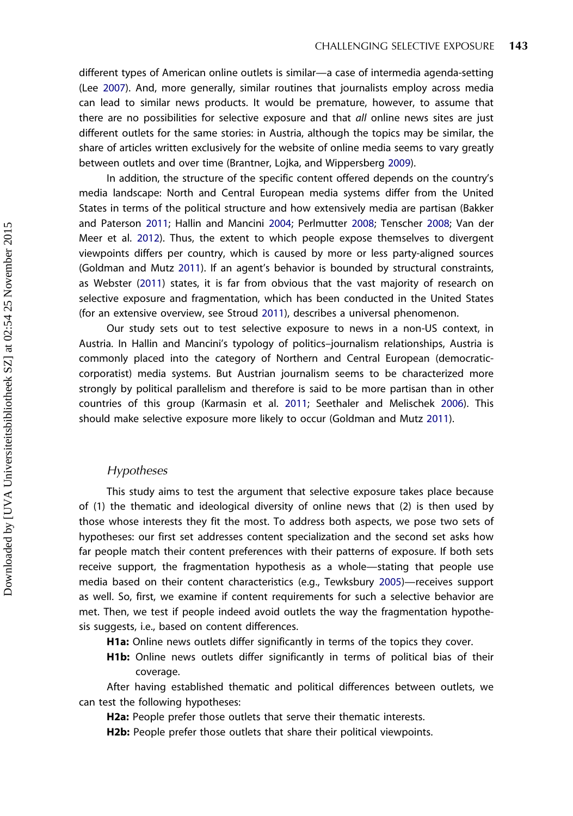different types of American online outlets is similar—a case of intermedia agenda-setting (Lee [2007](#page-15-0)). And, more generally, similar routines that journalists employ across media can lead to similar news products. It would be premature, however, to assume that there are no possibilities for selective exposure and that *all* online news sites are just different outlets for the same stories: in Austria, although the topics may be similar, the share of articles written exclusively for the website of online media seems to vary greatly between outlets and over time (Brantner, Lojka, and Wippersberg [2009\)](#page-13-0).

In addition, the structure of the specific content offered depends on the country's media landscape: North and Central European media systems differ from the United States in terms of the political structure and how extensively media are partisan (Bakker and Paterson [2011](#page-13-0); Hallin and Mancini [2004;](#page-14-0) Perlmutter [2008](#page-15-0); Tenscher [2008](#page-15-0); Van der Meer et al. [2012](#page-16-0)). Thus, the extent to which people expose themselves to divergent viewpoints differs per country, which is caused by more or less party-aligned sources (Goldman and Mutz [2011\)](#page-14-0). If an agent's behavior is bounded by structural constraints, as Webster [\(2011\)](#page-16-0) states, it is far from obvious that the vast majority of research on selective exposure and fragmentation, which has been conducted in the United States (for an extensive overview, see Stroud [2011\)](#page-15-0), describes a universal phenomenon.

Our study sets out to test selective exposure to news in a non-US context, in Austria. In Hallin and Mancini's typology of politics–journalism relationships, Austria is commonly placed into the category of Northern and Central European (democraticcorporatist) media systems. But Austrian journalism seems to be characterized more strongly by political parallelism and therefore is said to be more partisan than in other countries of this group (Karmasin et al. [2011;](#page-14-0) Seethaler and Melischek [2006](#page-15-0)). This should make selective exposure more likely to occur (Goldman and Mutz [2011\)](#page-14-0).

#### Hypotheses

This study aims to test the argument that selective exposure takes place because of (1) the thematic and ideological diversity of online news that (2) is then used by those whose interests they fit the most. To address both aspects, we pose two sets of hypotheses: our first set addresses content specialization and the second set asks how far people match their content preferences with their patterns of exposure. If both sets receive support, the fragmentation hypothesis as a whole—stating that people use media based on their content characteristics (e.g., Tewksbury [2005\)](#page-16-0)—receives support as well. So, first, we examine if content requirements for such a selective behavior are met. Then, we test if people indeed avoid outlets the way the fragmentation hypothesis suggests, i.e., based on content differences.

H1a: Online news outlets differ significantly in terms of the topics they cover.

H1b: Online news outlets differ significantly in terms of political bias of their coverage.

After having established thematic and political differences between outlets, we can test the following hypotheses:

H2a: People prefer those outlets that serve their thematic interests.

H2b: People prefer those outlets that share their political viewpoints.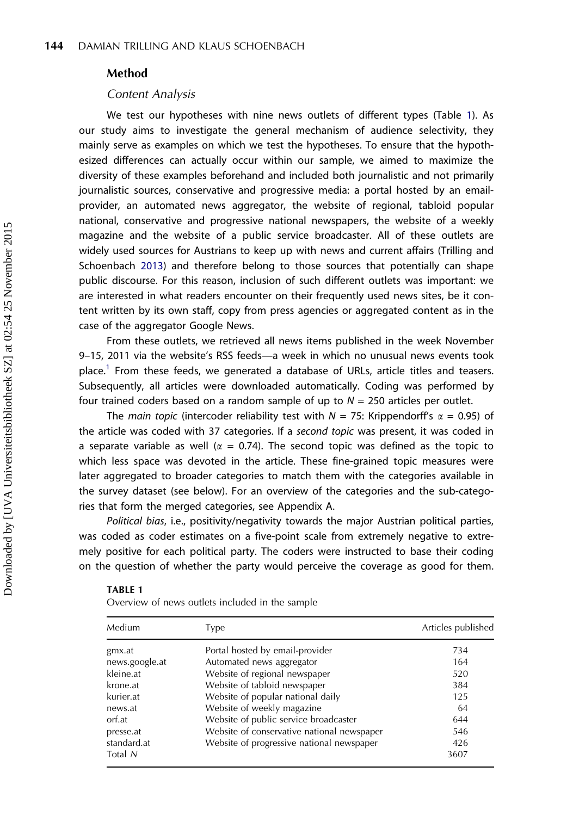#### Method

#### Content Analysis

We test our hypotheses with nine news outlets of different types (Table 1). As our study aims to investigate the general mechanism of audience selectivity, they mainly serve as examples on which we test the hypotheses. To ensure that the hypothesized differences can actually occur within our sample, we aimed to maximize the diversity of these examples beforehand and included both journalistic and not primarily journalistic sources, conservative and progressive media: a portal hosted by an emailprovider, an automated news aggregator, the website of regional, tabloid popular national, conservative and progressive national newspapers, the website of a weekly magazine and the website of a public service broadcaster. All of these outlets are widely used sources for Austrians to keep up with news and current affairs (Trilling and Schoenbach [2013\)](#page-16-0) and therefore belong to those sources that potentially can shape public discourse. For this reason, inclusion of such different outlets was important: we are interested in what readers encounter on their frequently used news sites, be it content written by its own staff, copy from press agencies or aggregated content as in the case of the aggregator Google News.

From these outlets, we retrieved all news items published in the week November 9–15, 2011 via the website's RSS feeds—a week in which no unusual news events took place.<sup>[1](#page-12-0)</sup> From these feeds, we generated a database of URLs, article titles and teasers. Subsequently, all articles were downloaded automatically. Coding was performed by four trained coders based on a random sample of up to  $N = 250$  articles per outlet.

The main topic (intercoder reliability test with  $N = 75$ : Krippendorff's  $\alpha = 0.95$ ) of the article was coded with 37 categories. If a second topic was present, it was coded in a separate variable as well ( $\alpha = 0.74$ ). The second topic was defined as the topic to which less space was devoted in the article. These fine-grained topic measures were later aggregated to broader categories to match them with the categories available in the survey dataset (see below). For an overview of the categories and the sub-categories that form the merged categories, see Appendix A.

Political bias, i.e., positivity/negativity towards the major Austrian political parties, was coded as coder estimates on a five-point scale from extremely negative to extremely positive for each political party. The coders were instructed to base their coding on the question of whether the party would perceive the coverage as good for them.

| ARI F |
|-------|
|-------|

Overview of news outlets included in the sample

| Medium         | Type                                       | Articles published |
|----------------|--------------------------------------------|--------------------|
| gmx.at         | Portal hosted by email-provider            | 734                |
| news.google.at | Automated news aggregator                  | 164                |
| kleine.at      | Website of regional newspaper              | 520                |
| krone.at       | Website of tabloid newspaper               | 384                |
| kurier.at      | Website of popular national daily          | 125                |
| news.at        | Website of weekly magazine                 | 64                 |
| orf.at         | Website of public service broadcaster      | 644                |
| presse.at      | Website of conservative national newspaper | 546                |
| standard.at    | Website of progressive national newspaper  | 426                |
| Total N        |                                            | 3607               |
|                |                                            |                    |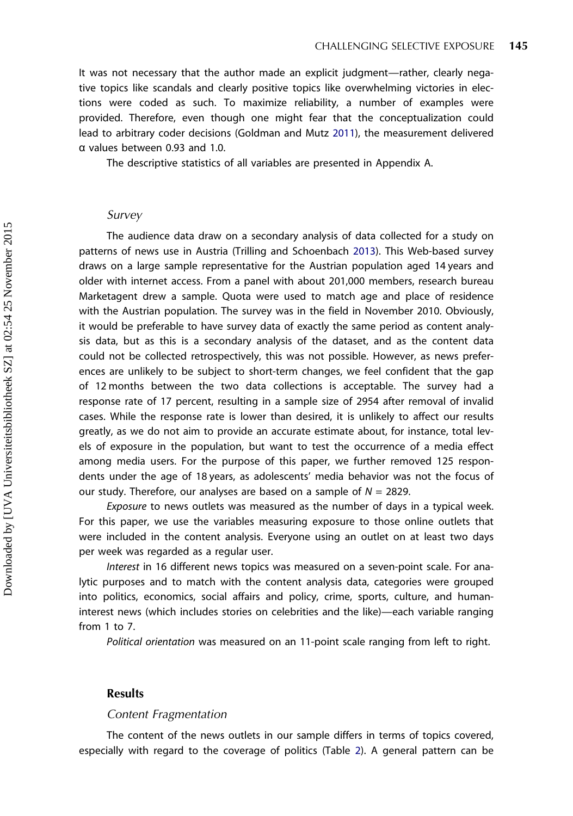It was not necessary that the author made an explicit judgment—rather, clearly negative topics like scandals and clearly positive topics like overwhelming victories in elections were coded as such. To maximize reliability, a number of examples were provided. Therefore, even though one might fear that the conceptualization could lead to arbitrary coder decisions (Goldman and Mutz [2011\)](#page-14-0), the measurement delivered α values between 0.93 and 1.0.

The descriptive statistics of all variables are presented in Appendix A.

#### Survey

The audience data draw on a secondary analysis of data collected for a study on patterns of news use in Austria (Trilling and Schoenbach [2013](#page-16-0)). This Web-based survey draws on a large sample representative for the Austrian population aged 14 years and older with internet access. From a panel with about 201,000 members, research bureau Marketagent drew a sample. Quota were used to match age and place of residence with the Austrian population. The survey was in the field in November 2010. Obviously, it would be preferable to have survey data of exactly the same period as content analysis data, but as this is a secondary analysis of the dataset, and as the content data could not be collected retrospectively, this was not possible. However, as news preferences are unlikely to be subject to short-term changes, we feel confident that the gap of 12 months between the two data collections is acceptable. The survey had a response rate of 17 percent, resulting in a sample size of 2954 after removal of invalid cases. While the response rate is lower than desired, it is unlikely to affect our results greatly, as we do not aim to provide an accurate estimate about, for instance, total levels of exposure in the population, but want to test the occurrence of a media effect among media users. For the purpose of this paper, we further removed 125 respondents under the age of 18 years, as adolescents' media behavior was not the focus of our study. Therefore, our analyses are based on a sample of  $N = 2829$ .

Exposure to news outlets was measured as the number of days in a typical week. For this paper, we use the variables measuring exposure to those online outlets that were included in the content analysis. Everyone using an outlet on at least two days per week was regarded as a regular user.

Interest in 16 different news topics was measured on a seven-point scale. For analytic purposes and to match with the content analysis data, categories were grouped into politics, economics, social affairs and policy, crime, sports, culture, and humaninterest news (which includes stories on celebrities and the like)—each variable ranging from 1 to 7.

Political orientation was measured on an 11-point scale ranging from left to right.

#### Results

#### Content Fragmentation

The content of the news outlets in our sample differs in terms of topics covered, especially with regard to the coverage of politics (Table [2\)](#page-7-0). A general pattern can be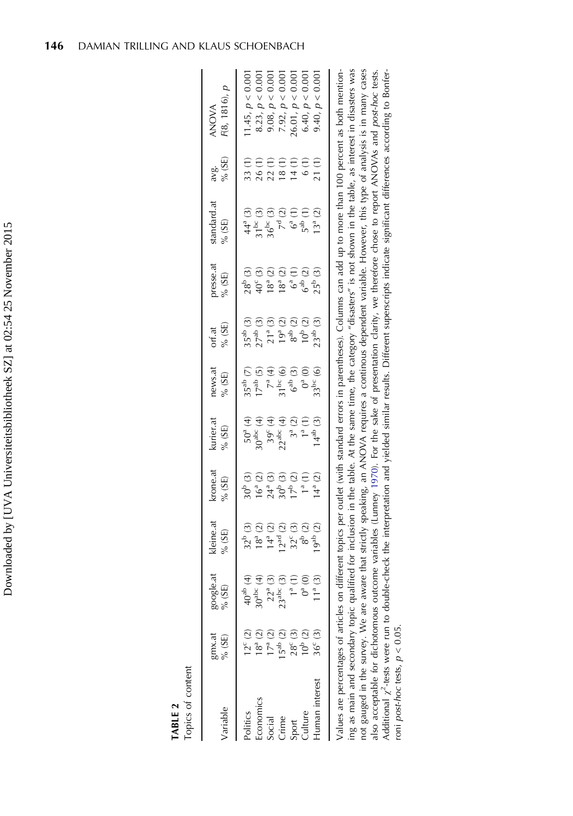| ֚֬                                                            |
|---------------------------------------------------------------|
|                                                               |
|                                                               |
|                                                               |
|                                                               |
| ֖֖֖֧ׅ֖֧ׅ֖֧֖֧֖֧֚֚֚֚֚֚֚֚֚֚֚֚֚֚֚֚֚֚֚֚֚֚֚֚֚֚֚֚֚֚֚֚֚֬֝֝֬֝֓֬֓֝֬֝֓֬֝ |
|                                                               |
|                                                               |
|                                                               |
|                                                               |
|                                                               |
| $\frac{1}{\epsilon}$                                          |
|                                                               |
| י<br>.                                                        |
| $\overline{ }$                                                |
|                                                               |
|                                                               |
|                                                               |
|                                                               |
|                                                               |
|                                                               |
|                                                               |
|                                                               |
| .<br>.<br>.                                                   |
|                                                               |
|                                                               |
|                                                               |
|                                                               |
|                                                               |
|                                                               |
| י                                                             |
|                                                               |
|                                                               |
|                                                               |
| .<br>ו                                                        |
|                                                               |
|                                                               |
|                                                               |
|                                                               |
|                                                               |
|                                                               |
|                                                               |
|                                                               |
|                                                               |
|                                                               |
|                                                               |
|                                                               |
|                                                               |
|                                                               |
| ļ                                                             |
|                                                               |

| ¢   |  |
|-----|--|
| - 7 |  |

<span id="page-7-0"></span>

| Variable                                                                     | gmx.at<br>% (SE)                        | google.at<br>% (SE)                  | kleine.at<br>% (SE)                                                              | krone.at<br>% $(SE)$                                                           | kurier.at<br>% $(SE)$                                                                        | news.at<br>% $(SE)$                                                                                                                                 | % $(SE)$<br>orf.at                                                                                              | presse.at<br>% (SE)                                                                                                                                                                                                                                                                                                                                                                                                              | standard.at<br>% $(SE)$                                                          | avg.<br>% (SE)                                                                | F(8, 1816), p<br>ANOVA                                                                                                                                                                                                                |
|------------------------------------------------------------------------------|-----------------------------------------|--------------------------------------|----------------------------------------------------------------------------------|--------------------------------------------------------------------------------|----------------------------------------------------------------------------------------------|-----------------------------------------------------------------------------------------------------------------------------------------------------|-----------------------------------------------------------------------------------------------------------------|----------------------------------------------------------------------------------------------------------------------------------------------------------------------------------------------------------------------------------------------------------------------------------------------------------------------------------------------------------------------------------------------------------------------------------|----------------------------------------------------------------------------------|-------------------------------------------------------------------------------|---------------------------------------------------------------------------------------------------------------------------------------------------------------------------------------------------------------------------------------|
| Politics                                                                     | $12^c$ (2)                              | E                                    | $32^{b}$ (3)                                                                     |                                                                                |                                                                                              |                                                                                                                                                     |                                                                                                                 |                                                                                                                                                                                                                                                                                                                                                                                                                                  |                                                                                  |                                                                               | 1.45, p < 0.001                                                                                                                                                                                                                       |
| conomic                                                                      | g<br>18 <sup>a</sup><br>17 <sup>a</sup> | E<br>$\odot$<br>$22^a$<br>$30^{abc}$ | $\begin{array}{c} 18^{\rm a}~(2)\\ 14^{\rm a}~(2)\\ 12^{\rm ad}~(2) \end{array}$ | $30^8$<br>$5^8$<br>$6^9$<br>$7^4$<br>$8^9$<br>$7^8$<br>$7^6$<br>$7^6$<br>$7^6$ | 50 <sup>a</sup> (4)<br>30 <sup>abc</sup> (4)<br>39 <sup>c</sup> (4)<br>22 <sup>abc</sup> (4) | $\begin{array}{l} 35^{ab} \; (7) \\ 17^{ab} \; (5) \\ 7^{a} \; (4) \\ 31^{bc} \; (6) \\ 6^{ab} \; (3) \\ 6^{ab} \; (6) \\ 0^{a} \; (6) \end{array}$ | $35^{ab}$ (3)<br>$27^{ab}$ (3)<br>$21^{a}$ (3)<br>$19^{a}$ (2)<br>$8^{ab}$ (3)<br>$10^{b}$ (3)<br>$12^{3b}$ (3) | $\begin{array}{l} 28^{\text{b}} \\ 3) \\ 4 \text{c} \\ 1 \text{c} \\ 2 \text{d} \\ 2 \text{d} \\ 2 \text{e} \\ 2 \text{e} \\ 2 \text{e} \\ 2 \text{e} \\ 2 \text{f} \\ 2 \text{f} \\ 2 \text{f} \\ 2 \text{f} \\ 2 \text{f} \\ 2 \text{f} \\ 2 \text{f} \\ 2 \text{f} \\ 2 \text{f} \\ 2 \text{f} \\ 2 \text{f} \\ 2 \text{f} \\ 2 \text{f} \\ 2 \text{f} \\ 2 \text{f} \\ 2 \text{f} \\ 2 \text{f}$<br>$\widehat{\mathfrak{O}}$ | $44^a$ (3)<br>31 <sup>bc</sup> (3)<br>36 <sup>bc</sup> (3)<br>7 <sup>d</sup> (2) | $(1)$<br>$(2)$<br>$(3)$<br>$(3)$<br>$(4)$<br>$(5)$<br>$(6)$<br>$(7)$<br>$(8)$ | $\begin{array}{c} 8.23, p < 0.001 \\ 9.08, p < 0.001 \\ 7.92, p < 0.001 \\ 26.01, p < 0.001 \\ 0.40, p < 0.001 \end{array}$                                                                                                           |
| Social<br>Crime                                                              | 5 <sup>ab</sup>                         | $\odot$<br>$23abc$ .                 |                                                                                  |                                                                                |                                                                                              | $\circledcirc$                                                                                                                                      |                                                                                                                 |                                                                                                                                                                                                                                                                                                                                                                                                                                  |                                                                                  |                                                                               |                                                                                                                                                                                                                                       |
| jport                                                                        | ි<br>$28^{\circ}$                       | $\widehat{z}$                        | $32^c$ (3)<br>$8^b$ (2)<br>$19^{ab}$ (2)                                         |                                                                                |                                                                                              |                                                                                                                                                     | $\widehat{2}$                                                                                                   |                                                                                                                                                                                                                                                                                                                                                                                                                                  | $6^a$ (1)<br>$5^{ab}$ (2)<br>$13^a$ (2)                                          |                                                                               |                                                                                                                                                                                                                                       |
| Culture                                                                      | $\overline{Q}^{\circ}$                  | $\widehat{\circ}$                    |                                                                                  | $1a$ (1)                                                                       | $3^a (2)$<br>$1^a (1)$<br>$14^{ab} (3)$                                                      | $\odot$                                                                                                                                             |                                                                                                                 |                                                                                                                                                                                                                                                                                                                                                                                                                                  |                                                                                  | $\begin{array}{c} 6 \overline{1} \\ 21 \end{array}$                           |                                                                                                                                                                                                                                       |
| luman interest                                                               | $36c$ (3)                               | $1a$ (3)                             |                                                                                  | $14^{a} (2)$                                                                   |                                                                                              | $33^{bc}$                                                                                                                                           |                                                                                                                 |                                                                                                                                                                                                                                                                                                                                                                                                                                  |                                                                                  |                                                                               | 9.40, $p < 0.001$                                                                                                                                                                                                                     |
| Values are percentages of articles on<br>ing as main and secondary topic qua |                                         |                                      | lified for inclusion in the table.                                               |                                                                                |                                                                                              |                                                                                                                                                     |                                                                                                                 |                                                                                                                                                                                                                                                                                                                                                                                                                                  |                                                                                  |                                                                               | At the same time, the category "disasters" is not shown in the table, as interest in disasters was<br>different topics per outlet (with standard errors in parentheses). Columns can add up to more than 100 percent as both mention- |

 $25$ not gauged in the survey. We are aware that strictly speaking, an ANOVA requires a continous dependent variable. However, this type of analysis is in many cases also acceptable for dichotomous outcome variables (Lunney 1970). For the sake of presentation clarity, we therefore chose to report ANOVAs and post-hoc tests. Additional x<sup>2</sup>-tests were run to double-check the interpretation and yielded similar results. Different superscripts indicate significant differences according to Bonfer-Values are percentages of articles on different topics per outlet (with standard errors in parentheses). Columns can add up to more than 100 percent as both mentioning as main and secondary topic qualified for inclusion in the table. At the same time, the category "disasters" is not shown in the table, as interest in disasters was not gauged in the survey. We are aware that strictly speaking, an ANOVA requires a continous dependent variable. However, this type of analysis is in many cases also acceptable for dichotomous outcome variables (Lunney [1970](#page-15-0)). For the sake of presentation clarity, we therefore chose to report ANOVAs and post-hoc tests. Additional <sub>X</sub><sup>2</sup>-tests were run to double-check the interpretation and yielded similar results. Different superscripts indicate significant differences according to Bonferroni post-hoc tests,  $p < 0.05$ .  $p < 0.05$ . roni post-hoc tests,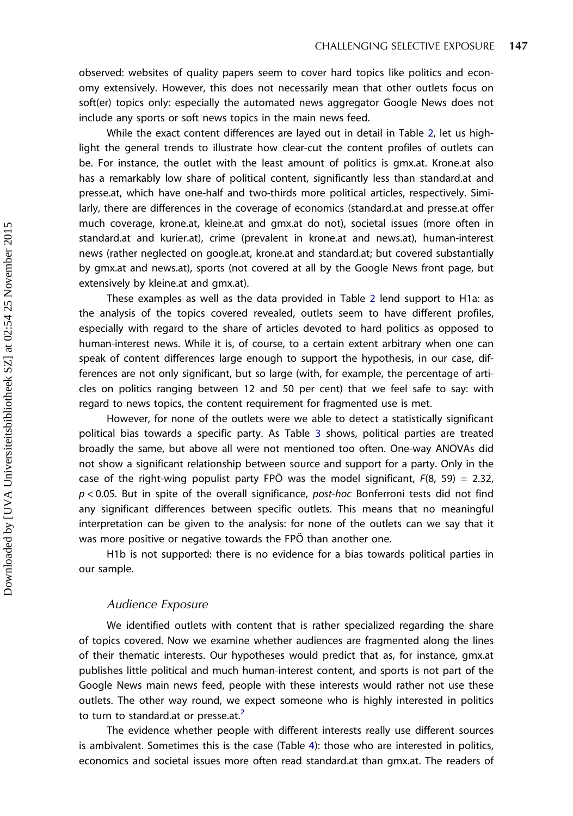observed: websites of quality papers seem to cover hard topics like politics and economy extensively. However, this does not necessarily mean that other outlets focus on soft(er) topics only: especially the automated news aggregator Google News does not include any sports or soft news topics in the main news feed.

While the exact content differences are layed out in detail in Table [2](#page-7-0), let us highlight the general trends to illustrate how clear-cut the content profiles of outlets can be. For instance, the outlet with the least amount of politics is gmx.at. Krone.at also has a remarkably low share of political content, significantly less than standard.at and presse.at, which have one-half and two-thirds more political articles, respectively. Similarly, there are differences in the coverage of economics (standard.at and presse.at offer much coverage, krone.at, kleine.at and gmx.at do not), societal issues (more often in standard.at and kurier.at), crime (prevalent in krone.at and news.at), human-interest news (rather neglected on google.at, krone.at and standard.at; but covered substantially by gmx.at and news.at), sports (not covered at all by the Google News front page, but extensively by kleine.at and gmx.at).

These examples as well as the data provided in Table [2](#page-7-0) lend support to H1a: as the analysis of the topics covered revealed, outlets seem to have different profiles, especially with regard to the share of articles devoted to hard politics as opposed to human-interest news. While it is, of course, to a certain extent arbitrary when one can speak of content differences large enough to support the hypothesis, in our case, differences are not only significant, but so large (with, for example, the percentage of articles on politics ranging between 12 and 50 per cent) that we feel safe to say: with regard to news topics, the content requirement for fragmented use is met.

However, for none of the outlets were we able to detect a statistically significant political bias towards a specific party. As Table [3](#page-9-0) shows, political parties are treated broadly the same, but above all were not mentioned too often. One-way ANOVAs did not show a significant relationship between source and support for a party. Only in the case of the right-wing populist party FPO was the model significant,  $F(8, 59) = 2.32$ ,  $p < 0.05$ . But in spite of the overall significance, post-hoc Bonferroni tests did not find any significant differences between specific outlets. This means that no meaningful interpretation can be given to the analysis: for none of the outlets can we say that it was more positive or negative towards the FPÖ than another one.

H1b is not supported: there is no evidence for a bias towards political parties in our sample.

#### Audience Exposure

We identified outlets with content that is rather specialized regarding the share of topics covered. Now we examine whether audiences are fragmented along the lines of their thematic interests. Our hypotheses would predict that as, for instance, gmx.at publishes little political and much human-interest content, and sports is not part of the Google News main news feed, people with these interests would rather not use these outlets. The other way round, we expect someone who is highly interested in politics to turn to standard.at or presse.at.<sup>[2](#page-13-0)</sup>

The evidence whether people with different interests really use different sources is ambivalent. Sometimes this is the case (Table [4\)](#page-10-0): those who are interested in politics, economics and societal issues more often read standard.at than gmx.at. The readers of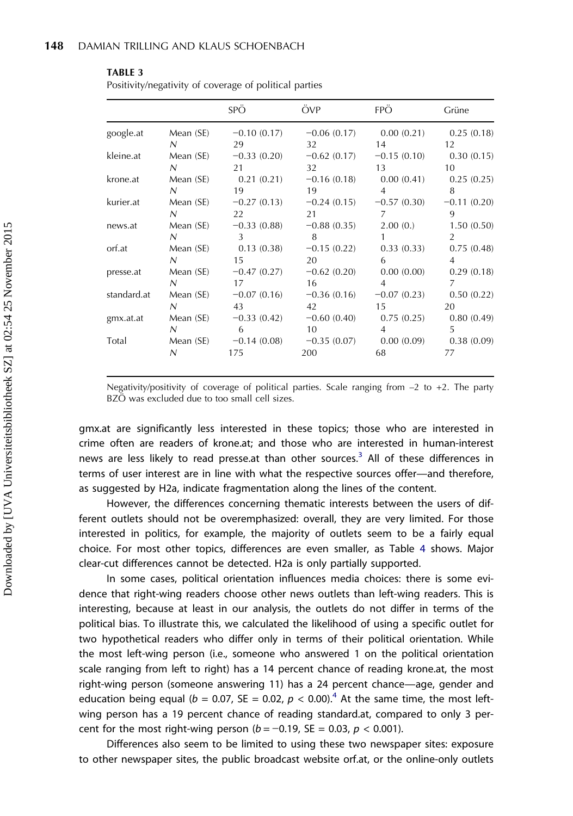|             |                     | SPÖ                                                             | ÖVP           | FPÖ                                 | Grüne                       |
|-------------|---------------------|-----------------------------------------------------------------|---------------|-------------------------------------|-----------------------------|
| google.at   |                     | Mean (SE) $-0.10(0.17)$ $-0.06(0.17)$ $0.00(0.21)$ $0.25(0.18)$ |               |                                     |                             |
|             | $N$ and $N$         | 29                                                              | 32            | 14                                  | 12                          |
| kleine.at   |                     | Mean $(SE)$ $-0.33$ $(0.20)$                                    | $-0.62(0.17)$ |                                     | $-0.15(0.10)$ 0.30 (0.15)   |
|             | $\mathcal{N}$       | 21                                                              | 32            |                                     | 10                          |
| krone.at    |                     | Mean (SE) $0.21(0.21)$ $-0.16(0.18)$ $0.00(0.41)$ $0.25(0.25)$  |               |                                     |                             |
|             | $\mathcal N$        | 19                                                              | 19            | $\overline{4}$                      | 8                           |
| kurier.at   |                     | Mean $(SE)$ -0.27 $(0.13)$                                      | $-0.24(0.15)$ |                                     | $-0.57(0.30)$ $-0.11(0.20)$ |
|             | $\mathcal N$        | 22                                                              | 21            | $7$ and $7$                         | 9                           |
| news.at     |                     | Mean $(SE)$ -0.33 $(0.88)$                                      |               | $-0.88(0.35)$ 2.00 (0.) 1.50 (0.50) |                             |
|             | $N$ and $N$         | $3 \sim 3$                                                      | 8             | $1 \qquad \qquad$                   | $2^{\circ}$                 |
| orf.at      |                     | Mean (SE) 0.13 (0.38)                                           |               | $-0.15(0.22)$ 0.33 (0.33)           | 0.75(0.48)                  |
|             |                     | $N$ 15                                                          | 20            | 6                                   | $\overline{4}$              |
| presse.at   |                     | Mean $(SE)$ -0.47 $(0.27)$                                      | $-0.62(0.20)$ | 0.00(0.00)                          | 0.29(0.18)                  |
|             | 17<br>$\mathcal{N}$ |                                                                 | 16            | $4 \quad$                           | $\overline{7}$              |
| standard.at |                     | Mean $(SE)$ -0.07 $(0.16)$                                      | $-0.36(0.16)$ |                                     | $-0.07(0.23)$ 0.50 (0.22)   |
|             | N                   | 43                                                              | 42            | 15                                  | 20                          |
| gmx.at.at   |                     | Mean (SE) $-0.33(0.42)$ $-0.60(0.40)$ $0.75(0.25)$ $0.80(0.49)$ |               |                                     |                             |
|             | $\mathcal N$        | - 6                                                             | 10            | $\overline{4}$                      | 5.                          |
| Total       |                     | Mean (SE) $-0.14(0.08)$ $-0.35(0.07)$ $0.00(0.09)$ $0.38(0.09)$ |               |                                     |                             |
|             | N                   | 175                                                             | 200           | 68                                  | 77                          |

#### <span id="page-9-0"></span>TABLE 3

Positivity/negativity of coverage of political parties

Negativity/positivity of coverage of political parties. Scale ranging from  $-2$  to  $+2$ . The party BZÖ was excluded due to too small cell sizes.

gmx.at are significantly less interested in these topics; those who are interested in crime often are readers of krone.at; and those who are interested in human-interest news are less likely to read presse.at than other sources.<sup>[3](#page-13-0)</sup> All of these differences in terms of user interest are in line with what the respective sources offer—and therefore, as suggested by H2a, indicate fragmentation along the lines of the content.

However, the differences concerning thematic interests between the users of different outlets should not be overemphasized: overall, they are very limited. For those interested in politics, for example, the majority of outlets seem to be a fairly equal choice. For most other topics, differences are even smaller, as Table [4](#page-10-0) shows. Major clear-cut differences cannot be detected. H2a is only partially supported.

In some cases, political orientation influences media choices: there is some evidence that right-wing readers choose other news outlets than left-wing readers. This is interesting, because at least in our analysis, the outlets do not differ in terms of the political bias. To illustrate this, we calculated the likelihood of using a specific outlet for two hypothetical readers who differ only in terms of their political orientation. While the most left-wing person (i.e., someone who answered 1 on the political orientation scale ranging from left to right) has a 14 percent chance of reading krone.at, the most right-wing person (someone answering 11) has a 24 percent chance—age, gender and education being equal ( $b = 0.07$ , SE = 0.02,  $p < 0.00$ ).<sup>[4](#page-13-0)</sup> At the same time, the most leftwing person has a 19 percent chance of reading standard.at, compared to only 3 percent for the most right-wing person ( $b = -0.19$ , SE = 0.03,  $p < 0.001$ ).

Differences also seem to be limited to using these two newspaper sites: exposure to other newspaper sites, the public broadcast website orf.at, or the online-only outlets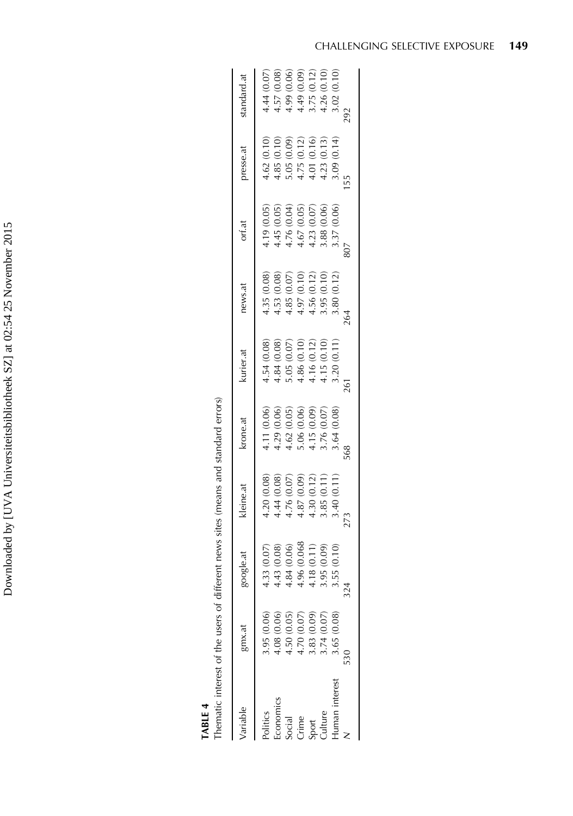TABLE 4<br>Thematic interest of the users of different news sites (means and standard errors) Thematic interest of the users of different news sites (means and standard errors)

<span id="page-10-0"></span>

| ariable         | gmx.at                                                                                                                                                                                                                                                   | google.at       | kleine.at      | krone.at       | kurier.at                                                                                                                | news.at                      | orf.at                                                                         | presse.at                                      | standard.at    |
|-----------------|----------------------------------------------------------------------------------------------------------------------------------------------------------------------------------------------------------------------------------------------------------|-----------------|----------------|----------------|--------------------------------------------------------------------------------------------------------------------------|------------------------------|--------------------------------------------------------------------------------|------------------------------------------------|----------------|
| olitics         |                                                                                                                                                                                                                                                          | 4.33 (0.07)     | 4.20 (0.08)    | 4.11 (0.06)    |                                                                                                                          | 4.35 (0.08)                  | 4.19 (0.05)                                                                    | 4.62(0.10)                                     | 4.44 (0.07)    |
| conomics        |                                                                                                                                                                                                                                                          | (0.08)<br>4.43( | (0.08)<br>4.44 | 4.29 (0.06)    |                                                                                                                          |                              |                                                                                | (0.10)                                         | (0.08)<br>4.57 |
|                 |                                                                                                                                                                                                                                                          | 4.84 (0.06)     | (0.07)<br>4.76 | (0.05)<br>4.62 |                                                                                                                          | $4.53(0.08)$<br>$4.85(0.07)$ |                                                                                | (0.09)                                         | 4.99 (0.06)    |
| iocial<br>;rime | $\begin{array}{l} 3\  \  95\  \  0.06\\ 4\  \  0.06\\ 4\  \  50\  \  0.05\\ 4\  \  50\  \  0.05\\ 4\  \  70\  \  0.07\\ 4\  \  70\  \  0.07\\ 9\  \  1\  \  2\  \  3\  \  3\  \  0.09\\ 3\  \  74\  \  0.07\\ 3\  \  1.5\  \  5\  \  0.08\\ \end{array}$ | 4.96 (0.068     | (0.09)<br>4.87 | 5.06 (0.06)    | $\begin{array}{c} 4.54\ (0.08)\\ 4.84\ (0.08)\\ 5.05\ (0.07)\\ 4.86\ (0.10)\\ 4.86\ (0.10)\\ 4.16\ (0.12)\\ \end{array}$ | $4.97(0.10)$<br>$4.56(0.12)$ | $\begin{array}{c} 4.45 \ (0.05) \\ 4.76 \ (0.04) \\ 4.67 \ (0.05) \end{array}$ | (0.12)<br>$4.85$<br>$4.75$<br>$4.75$<br>$4.75$ | 4.49 (0.09)    |
| joort<br>ulture |                                                                                                                                                                                                                                                          | 4.18 (0.11)     | 4.30 (0.12)    | (0.09)<br>4.15 |                                                                                                                          |                              | 4.23 (0.07)                                                                    | (0.16)                                         | 3.75(0.12)     |
|                 |                                                                                                                                                                                                                                                          | (0.09)<br>3.95( | (0.11)<br>3.85 | 3.76 (0.07)    | 4.15 (0.10)                                                                                                              | (0.10)<br>3.95               | 3.88 (0.06)                                                                    | (0.13)<br>4.23                                 | 4.26 (0.10)    |
| uman interes    |                                                                                                                                                                                                                                                          | 3.55 (0.10)     | 3.40(0.11)     | 3.64 (0.08)    | 3.20(0.11)                                                                                                               | (0.12)<br>3.80 <sub>1</sub>  | 3.37 (0.06)                                                                    | (0.14)<br>3.09                                 | (0.10)<br>3.02 |
|                 |                                                                                                                                                                                                                                                          | 324             | 273            | 568            | 261                                                                                                                      | 264                          | 807                                                                            | 55                                             | 292            |
|                 |                                                                                                                                                                                                                                                          |                 |                |                |                                                                                                                          |                              |                                                                                |                                                |                |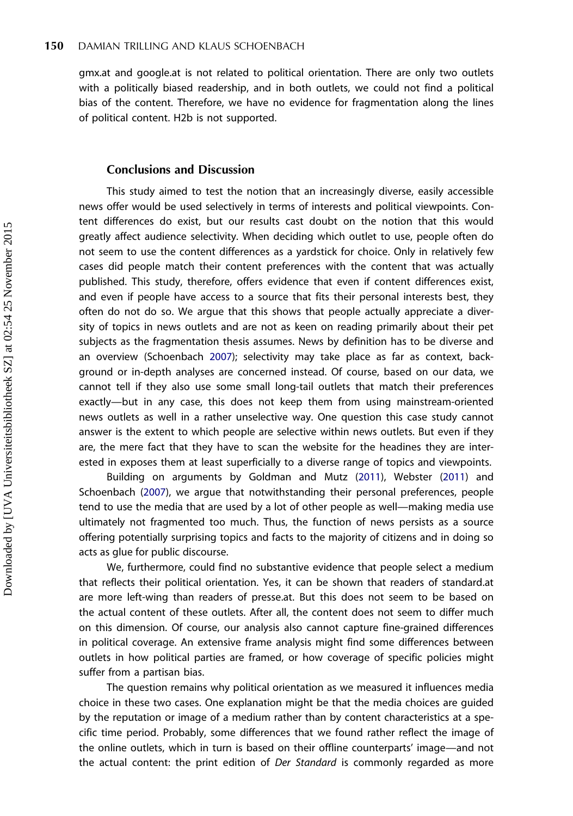gmx.at and google.at is not related to political orientation. There are only two outlets with a politically biased readership, and in both outlets, we could not find a political bias of the content. Therefore, we have no evidence for fragmentation along the lines of political content. H2b is not supported.

#### Conclusions and Discussion

This study aimed to test the notion that an increasingly diverse, easily accessible news offer would be used selectively in terms of interests and political viewpoints. Content differences do exist, but our results cast doubt on the notion that this would greatly affect audience selectivity. When deciding which outlet to use, people often do not seem to use the content differences as a yardstick for choice. Only in relatively few cases did people match their content preferences with the content that was actually published. This study, therefore, offers evidence that even if content differences exist, and even if people have access to a source that fits their personal interests best, they often do not do so. We argue that this shows that people actually appreciate a diversity of topics in news outlets and are not as keen on reading primarily about their pet subjects as the fragmentation thesis assumes. News by definition has to be diverse and an overview (Schoenbach [2007\)](#page-15-0); selectivity may take place as far as context, background or in-depth analyses are concerned instead. Of course, based on our data, we cannot tell if they also use some small long-tail outlets that match their preferences exactly—but in any case, this does not keep them from using mainstream-oriented news outlets as well in a rather unselective way. One question this case study cannot answer is the extent to which people are selective within news outlets. But even if they are, the mere fact that they have to scan the website for the headines they are interested in exposes them at least superficially to a diverse range of topics and viewpoints.

Building on arguments by Goldman and Mutz ([2011](#page-14-0)), Webster [\(2011\)](#page-16-0) and Schoenbach [\(2007\)](#page-15-0), we argue that notwithstanding their personal preferences, people tend to use the media that are used by a lot of other people as well—making media use ultimately not fragmented too much. Thus, the function of news persists as a source offering potentially surprising topics and facts to the majority of citizens and in doing so acts as glue for public discourse.

We, furthermore, could find no substantive evidence that people select a medium that reflects their political orientation. Yes, it can be shown that readers of standard.at are more left-wing than readers of presse.at. But this does not seem to be based on the actual content of these outlets. After all, the content does not seem to differ much on this dimension. Of course, our analysis also cannot capture fine-grained differences in political coverage. An extensive frame analysis might find some differences between outlets in how political parties are framed, or how coverage of specific policies might suffer from a partisan bias.

The question remains why political orientation as we measured it influences media choice in these two cases. One explanation might be that the media choices are guided by the reputation or image of a medium rather than by content characteristics at a specific time period. Probably, some differences that we found rather reflect the image of the online outlets, which in turn is based on their offline counterparts' image—and not the actual content: the print edition of Der Standard is commonly regarded as more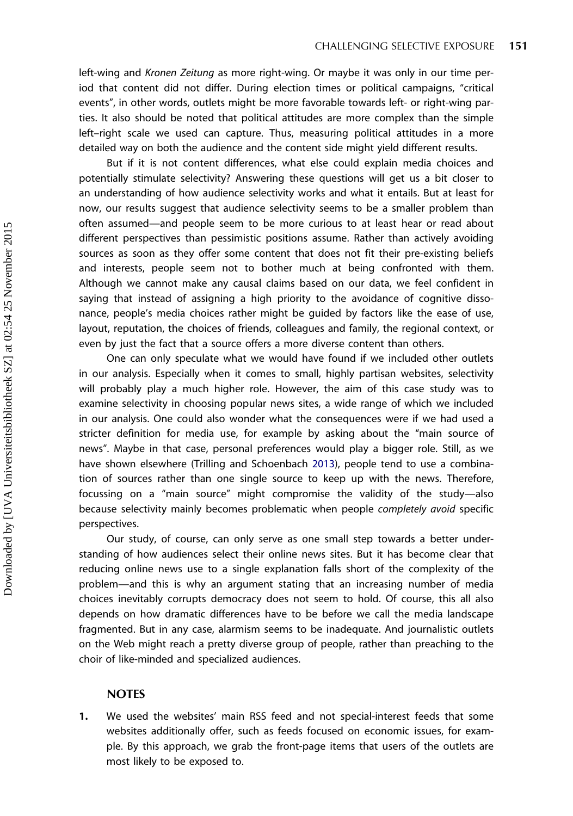<span id="page-12-0"></span>left-wing and Kronen Zeitung as more right-wing. Or maybe it was only in our time period that content did not differ. During election times or political campaigns, "critical events", in other words, outlets might be more favorable towards left- or right-wing parties. It also should be noted that political attitudes are more complex than the simple left–right scale we used can capture. Thus, measuring political attitudes in a more detailed way on both the audience and the content side might yield different results.

But if it is not content differences, what else could explain media choices and potentially stimulate selectivity? Answering these questions will get us a bit closer to an understanding of how audience selectivity works and what it entails. But at least for now, our results suggest that audience selectivity seems to be a smaller problem than often assumed—and people seem to be more curious to at least hear or read about different perspectives than pessimistic positions assume. Rather than actively avoiding sources as soon as they offer some content that does not fit their pre-existing beliefs and interests, people seem not to bother much at being confronted with them. Although we cannot make any causal claims based on our data, we feel confident in saying that instead of assigning a high priority to the avoidance of cognitive dissonance, people's media choices rather might be guided by factors like the ease of use, layout, reputation, the choices of friends, colleagues and family, the regional context, or even by just the fact that a source offers a more diverse content than others.

One can only speculate what we would have found if we included other outlets in our analysis. Especially when it comes to small, highly partisan websites, selectivity will probably play a much higher role. However, the aim of this case study was to examine selectivity in choosing popular news sites, a wide range of which we included in our analysis. One could also wonder what the consequences were if we had used a stricter definition for media use, for example by asking about the "main source of news". Maybe in that case, personal preferences would play a bigger role. Still, as we have shown elsewhere (Trilling and Schoenbach [2013](#page-16-0)), people tend to use a combination of sources rather than one single source to keep up with the news. Therefore, focussing on a "main source" might compromise the validity of the study—also because selectivity mainly becomes problematic when people completely avoid specific perspectives.

Our study, of course, can only serve as one small step towards a better understanding of how audiences select their online news sites. But it has become clear that reducing online news use to a single explanation falls short of the complexity of the problem—and this is why an argument stating that an increasing number of media choices inevitably corrupts democracy does not seem to hold. Of course, this all also depends on how dramatic differences have to be before we call the media landscape fragmented. But in any case, alarmism seems to be inadequate. And journalistic outlets on the Web might reach a pretty diverse group of people, rather than preaching to the choir of like-minded and specialized audiences.

#### **NOTES**

1. We used the websites' main RSS feed and not special-interest feeds that some websites additionally offer, such as feeds focused on economic issues, for example. By this approach, we grab the front-page items that users of the outlets are most likely to be exposed to.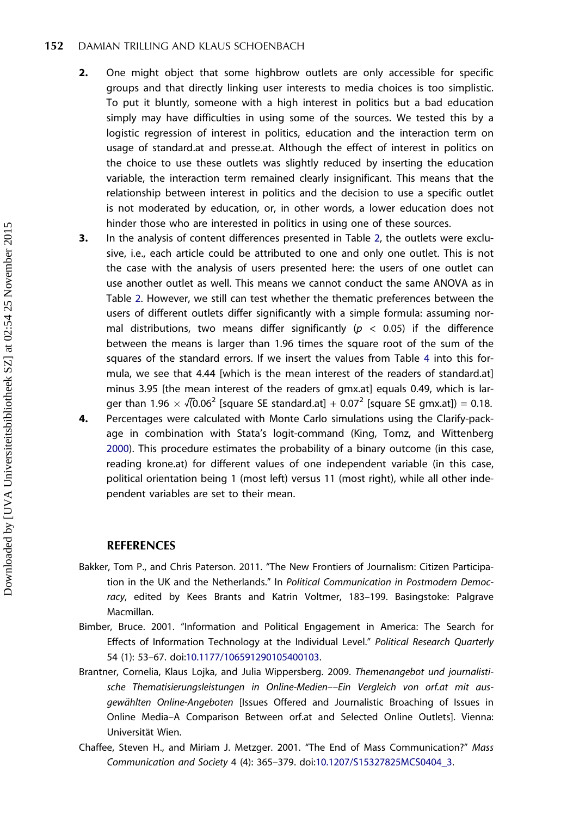#### <span id="page-13-0"></span>152 DAMIAN TRILLING AND KLAUS SCHOENBACH

- 2. One might object that some highbrow outlets are only accessible for specific groups and that directly linking user interests to media choices is too simplistic. To put it bluntly, someone with a high interest in politics but a bad education simply may have difficulties in using some of the sources. We tested this by a logistic regression of interest in politics, education and the interaction term on usage of standard.at and presse.at. Although the effect of interest in politics on the choice to use these outlets was slightly reduced by inserting the education variable, the interaction term remained clearly insignificant. This means that the relationship between interest in politics and the decision to use a specific outlet is not moderated by education, or, in other words, a lower education does not hinder those who are interested in politics in using one of these sources.
- 3. In the analysis of content differences presented in Table [2](#page-7-0), the outlets were exclusive, i.e., each article could be attributed to one and only one outlet. This is not the case with the analysis of users presented here: the users of one outlet can use another outlet as well. This means we cannot conduct the same ANOVA as in Table [2](#page-7-0). However, we still can test whether the thematic preferences between the users of different outlets differ significantly with a simple formula: assuming normal distributions, two means differ significantly ( $p < 0.05$ ) if the difference between the means is larger than 1.96 times the square root of the sum of the squares of the standard errors. If we insert the values from Table [4](#page-10-0) into this formula, we see that 4.44 [which is the mean interest of the readers of standard.at] minus 3.95 [the mean interest of the readers of gmx.at] equals 0.49, which is larger than 1.96  $\times$   $\sqrt{(0.06^2)}$  [square SE standard.at] + 0.07<sup>2</sup> [square SE gmx.at]) = 0.18.
- 4. Percentages were calculated with Monte Carlo simulations using the Clarify-package in combination with Stata's logit-command (King, Tomz, and Wittenberg [2000](#page-14-0)). This procedure estimates the probability of a binary outcome (in this case, reading krone.at) for different values of one independent variable (in this case, political orientation being 1 (most left) versus 11 (most right), while all other independent variables are set to their mean.

#### REFERENCES

- Bakker, Tom P., and Chris Paterson. 2011. "The New Frontiers of Journalism: Citizen Participation in the UK and the Netherlands." In Political Communication in Postmodern Democracy, edited by Kees Brants and Katrin Voltmer, 183–199. Basingstoke: Palgrave Macmillan.
- Bimber, Bruce. 2001. "Information and Political Engagement in America: The Search for Effects of Information Technology at the Individual Level." Political Research Quarterly 54 (1): 53–67. doi[:10.1177/106591290105400103](http://dx.doi.org/10.1177/106591290105400103).
- Brantner, Cornelia, Klaus Lojka, and Julia Wippersberg. 2009. Themenangebot und journalistische Thematisierungsleistungen in Online-Medien––Ein Vergleich von orf.at mit ausgewählten Online-Angeboten [Issues Offered and Journalistic Broaching of Issues in Online Media–A Comparison Between orf.at and Selected Online Outlets]. Vienna: Universität Wien.
- Chaffee, Steven H., and Miriam J. Metzger. 2001. "The End of Mass Communication?" Mass Communication and Society 4 (4): 365–379. doi:[10.1207/S15327825MCS0404\\_3](http://dx.doi.org/10.1207/S15327825MCS0404_3).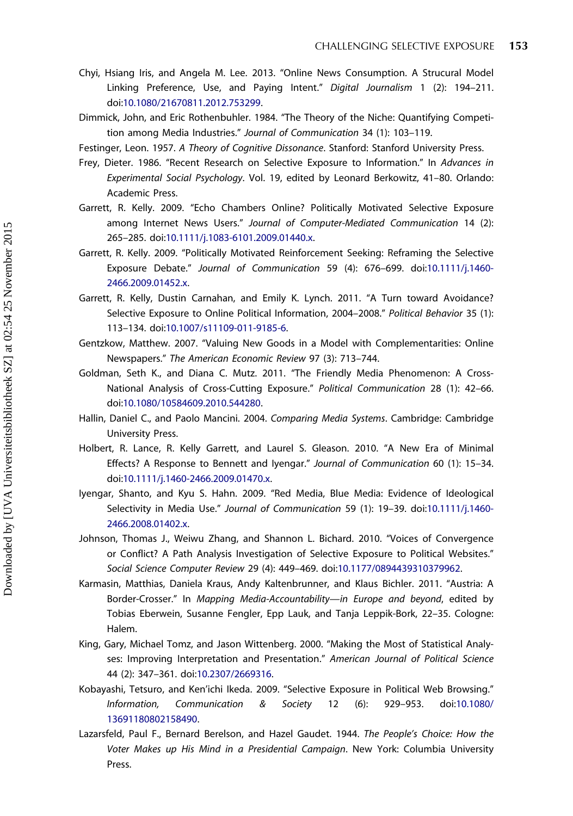- <span id="page-14-0"></span>Chyi, Hsiang Iris, and Angela M. Lee. 2013. "Online News Consumption. A Strucural Model Linking Preference, Use, and Paying Intent." Digital Journalism 1 (2): 194–211. doi[:10.1080/21670811.2012.753299.](http://dx.doi.org/10.1080/21670811.2012.753299)
- Dimmick, John, and Eric Rothenbuhler. 1984. "The Theory of the Niche: Quantifying Competition among Media Industries." Journal of Communication 34 (1): 103–119.
- Festinger, Leon. 1957. A Theory of Cognitive Dissonance. Stanford: Stanford University Press.
- Frey, Dieter. 1986. "Recent Research on Selective Exposure to Information." In Advances in Experimental Social Psychology. Vol. 19, edited by Leonard Berkowitz, 41–80. Orlando: Academic Press.
- Garrett, R. Kelly. 2009. "Echo Chambers Online? Politically Motivated Selective Exposure among Internet News Users." Journal of Computer-Mediated Communication 14 (2): 265–285. doi:[10.1111/j.1083-6101.2009.01440.x](http://dx.doi.org/10.1111/j.1083-6101.2009.01440.x).
- Garrett, R. Kelly. 2009. "Politically Motivated Reinforcement Seeking: Reframing the Selective Exposure Debate." Journal of Communication 59 (4): 676–699. doi:[10.1111/j.1460-](http://dx.doi.org/10.1111/j.1460-2466.2009.01452.x) [2466.2009.01452.x](http://dx.doi.org/10.1111/j.1460-2466.2009.01452.x).
- Garrett, R. Kelly, Dustin Carnahan, and Emily K. Lynch. 2011. "A Turn toward Avoidance? Selective Exposure to Online Political Information, 2004–2008." Political Behavior 35 (1): 113–134. doi:[10.1007/s11109-011-9185-6](http://dx.doi.org/10.1007/s11109-011-9185-6).
- Gentzkow, Matthew. 2007. "Valuing New Goods in a Model with Complementarities: Online Newspapers." The American Economic Review 97 (3): 713–744.
- Goldman, Seth K., and Diana C. Mutz. 2011. "The Friendly Media Phenomenon: A Cross-National Analysis of Cross-Cutting Exposure." Political Communication 28 (1): 42–66. doi[:10.1080/10584609.2010.544280.](http://dx.doi.org/10.1080/10584609.2010.544280)
- Hallin, Daniel C., and Paolo Mancini. 2004. Comparing Media Systems. Cambridge: Cambridge University Press.
- Holbert, R. Lance, R. Kelly Garrett, and Laurel S. Gleason. 2010. "A New Era of Minimal Effects? A Response to Bennett and Iyengar." Journal of Communication 60 (1): 15–34. doi[:10.1111/j.1460-2466.2009.01470.x.](http://dx.doi.org/10.1111/j.1460-2466.2009.01470.x)
- Iyengar, Shanto, and Kyu S. Hahn. 2009. "Red Media, Blue Media: Evidence of Ideological Selectivity in Media Use." Journal of Communication 59 (1): 19–39. doi:[10.1111/j.1460-](http://dx.doi.org/10.1111/j.1460-2466.2008.01402.x) [2466.2008.01402.x](http://dx.doi.org/10.1111/j.1460-2466.2008.01402.x).
- Johnson, Thomas J., Weiwu Zhang, and Shannon L. Bichard. 2010. "Voices of Convergence or Conflict? A Path Analysis Investigation of Selective Exposure to Political Websites." Social Science Computer Review 29 (4): 449–469. doi:[10.1177/0894439310379962](http://dx.doi.org/10.1177/0894439310379962).
- Karmasin, Matthias, Daniela Kraus, Andy Kaltenbrunner, and Klaus Bichler. 2011. "Austria: A Border-Crosser." In Mapping Media-Accountability—in Europe and beyond, edited by Tobias Eberwein, Susanne Fengler, Epp Lauk, and Tanja Leppik-Bork, 22–35. Cologne: Halem.
- King, Gary, Michael Tomz, and Jason Wittenberg. 2000. "Making the Most of Statistical Analyses: Improving Interpretation and Presentation." American Journal of Political Science 44 (2): 347–361. doi[:10.2307/2669316.](http://dx.doi.org/10.2307/2669316)
- Kobayashi, Tetsuro, and Ken'ichi Ikeda. 2009. "Selective Exposure in Political Web Browsing." Information, Communication & Society 12 (6): 929–953. doi:[10.1080/](http://dx.doi.org/10.1080/13691180802158490) [13691180802158490.](http://dx.doi.org/10.1080/13691180802158490)
- Lazarsfeld, Paul F., Bernard Berelson, and Hazel Gaudet. 1944. The People's Choice: How the Voter Makes up His Mind in a Presidential Campaign. New York: Columbia University Press.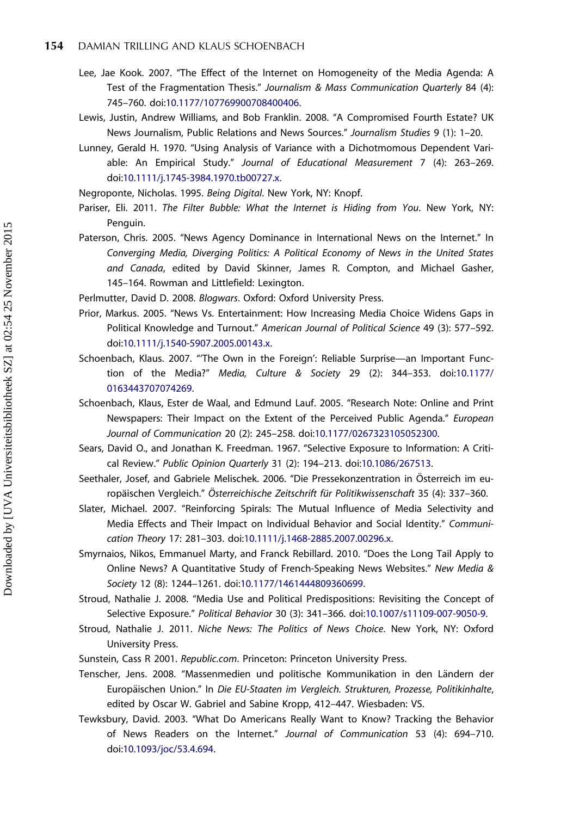- <span id="page-15-0"></span>Lee, Jae Kook. 2007. "The Effect of the Internet on Homogeneity of the Media Agenda: A Test of the Fragmentation Thesis." Journalism & Mass Communication Quarterly 84 (4): 745–760. doi:[10.1177/107769900708400406.](http://dx.doi.org/10.1177/107769900708400406)
- Lewis, Justin, Andrew Williams, and Bob Franklin. 2008. "A Compromised Fourth Estate? UK News Journalism, Public Relations and News Sources." Journalism Studies 9 (1): 1–20.
- Lunney, Gerald H. 1970. "Using Analysis of Variance with a Dichotmomous Dependent Variable: An Empirical Study." Journal of Educational Measurement 7 (4): 263–269. doi[:10.1111/j.1745-3984.1970.tb00727.x.](http://dx.doi.org/10.1111/j.1745-3984.1970.tb00727.x)

Negroponte, Nicholas. 1995. Being Digital. New York, NY: Knopf.

- Pariser, Eli. 2011. The Filter Bubble: What the Internet is Hiding from You. New York, NY: Penguin.
- Paterson, Chris. 2005. "News Agency Dominance in International News on the Internet." In Converging Media, Diverging Politics: A Political Economy of News in the United States and Canada, edited by David Skinner, James R. Compton, and Michael Gasher, 145–164. Rowman and Littlefield: Lexington.
- Perlmutter, David D. 2008. Blogwars. Oxford: Oxford University Press.
- Prior, Markus. 2005. "News Vs. Entertainment: How Increasing Media Choice Widens Gaps in Political Knowledge and Turnout." American Journal of Political Science 49 (3): 577–592. doi[:10.1111/j.1540-5907.2005.00143.x.](http://dx.doi.org/10.1111/j.1540-5907.2005.00143.x)
- Schoenbach, Klaus. 2007. "'The Own in the Foreign': Reliable Surprise—an Important Function of the Media?" Media, Culture & Society 29 (2): 344–353. doi:[10.1177/](http://dx.doi.org/10.1177/0163443707074269) [0163443707074269](http://dx.doi.org/10.1177/0163443707074269).
- Schoenbach, Klaus, Ester de Waal, and Edmund Lauf. 2005. "Research Note: Online and Print Newspapers: Their Impact on the Extent of the Perceived Public Agenda." European Journal of Communication 20 (2): 245–258. doi[:10.1177/0267323105052300.](http://dx.doi.org/10.1177/0267323105052300)
- Sears, David O., and Jonathan K. Freedman. 1967. "Selective Exposure to Information: A Critical Review." Public Opinion Quarterly 31 (2): 194–213. doi[:10.1086/267513](http://dx.doi.org/10.1086/267513).
- Seethaler, Josef, and Gabriele Melischek. 2006. "Die Pressekonzentration in Österreich im europäischen Vergleich." Österreichische Zeitschrift für Politikwissenschaft 35 (4): 337–360.
- Slater, Michael. 2007. "Reinforcing Spirals: The Mutual Influence of Media Selectivity and Media Effects and Their Impact on Individual Behavior and Social Identity." Communication Theory 17: 281–303. doi[:10.1111/j.1468-2885.2007.00296.x.](http://dx.doi.org/10.1111/j.1468-2885.2007.00296.x)
- Smyrnaios, Nikos, Emmanuel Marty, and Franck Rebillard. 2010. "Does the Long Tail Apply to Online News? A Quantitative Study of French-Speaking News Websites." New Media & Society 12 (8): 1244–1261. doi[:10.1177/1461444809360699.](http://dx.doi.org/10.1177/1461444809360699)
- Stroud, Nathalie J. 2008. "Media Use and Political Predispositions: Revisiting the Concept of Selective Exposure." Political Behavior 30 (3): 341–366. doi:[10.1007/s11109-007-9050-9](http://dx.doi.org/10.1007/s11109-007-9050-9).
- Stroud, Nathalie J. 2011. Niche News: The Politics of News Choice. New York, NY: Oxford University Press.
- Sunstein, Cass R 2001. Republic.com. Princeton: Princeton University Press.
- Tenscher, Jens. 2008. "Massenmedien und politische Kommunikation in den Ländern der Europäischen Union." In Die EU-Staaten im Vergleich. Strukturen, Prozesse, Politikinhalte, edited by Oscar W. Gabriel and Sabine Kropp, 412–447. Wiesbaden: VS.
- Tewksbury, David. 2003. "What Do Americans Really Want to Know? Tracking the Behavior of News Readers on the Internet." Journal of Communication 53 (4): 694–710. doi[:10.1093/joc/53.4.694.](http://dx.doi.org/10.1093/joc/53.4.694)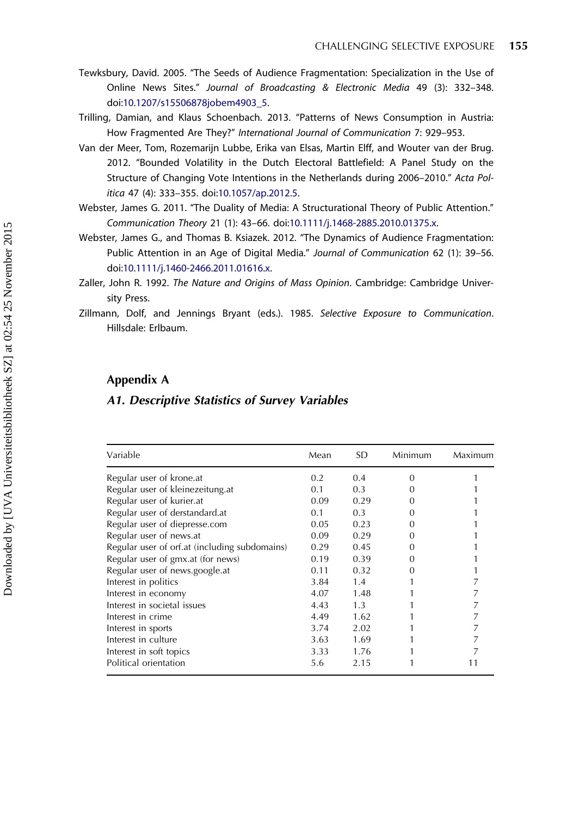- <span id="page-16-0"></span>Tewksbury, David. 2005. "The Seeds of Audience Fragmentation: Specialization in the Use of Online News Sites." Journal of Broadcasting & Electronic Media 49 (3): 332–348. doi[:10.1207/s15506878jobem4903\\_5](http://dx.doi.org/10.1207/s15506878jobem4903_5).
- Trilling, Damian, and Klaus Schoenbach. 2013. "Patterns of News Consumption in Austria: How Fragmented Are They?" International Journal of Communication 7: 929–953.
- Van der Meer, Tom, Rozemarijn Lubbe, Erika van Elsas, Martin Elff, and Wouter van der Brug. 2012. "Bounded Volatility in the Dutch Electoral Battlefield: A Panel Study on the Structure of Changing Vote Intentions in the Netherlands during 2006–2010." Acta Politica 47 (4): 333–355. doi:[10.1057/ap.2012.5](http://dx.doi.org/10.1057/ap.2012.5).
- Webster, James G. 2011. "The Duality of Media: A Structurational Theory of Public Attention." Communication Theory 21 (1): 43–66. doi[:10.1111/j.1468-2885.2010.01375.x.](http://dx.doi.org/10.1111/j.1468-2885.2010.01375.x)
- Webster, James G., and Thomas B. Ksiazek. 2012. "The Dynamics of Audience Fragmentation: Public Attention in an Age of Digital Media." Journal of Communication 62 (1): 39–56. doi[:10.1111/j.1460-2466.2011.01616.x.](http://dx.doi.org/10.1111/j.1460-2466.2011.01616.x)
- Zaller, John R. 1992. The Nature and Origins of Mass Opinion. Cambridge: Cambridge University Press.
- Zillmann, Dolf, and Jennings Bryant (eds.). 1985. Selective Exposure to Communication. Hillsdale: Erlbaum.

#### Appendix A

#### A1. Descriptive Statistics of Survey Variables

| Variable                                      | Mean | SD.  | Minimum | Maximum |
|-----------------------------------------------|------|------|---------|---------|
| Regular user of krone.at                      | 0.2  | 0.4  | 0       |         |
| Regular user of kleinezeitung.at              | 0.1  | 0.3  |         |         |
| Regular user of kurier.at                     | 0.09 | 0.29 |         |         |
| Regular user of derstandard.at                | 0.1  | 0.3  |         |         |
| Regular user of diepresse.com                 | 0.05 | 0.23 |         |         |
| Regular user of news.at                       | 0.09 | 0.29 |         |         |
| Regular user of orf.at (including subdomains) | 0.29 | 0.45 |         |         |
| Regular user of gmx.at (for news)             | 0.19 | 0.39 |         |         |
| Regular user of news.google.at                | 0.11 | 0.32 |         |         |
| Interest in politics                          | 3.84 | 1.4  |         |         |
| Interest in economy                           | 4.07 | 1.48 |         |         |
| Interest in societal issues                   | 4.43 | 1.3  |         |         |
| Interest in crime                             | 4.49 | 1.62 |         |         |
| Interest in sports                            | 3.74 | 2.02 |         |         |
| Interest in culture                           | 3.63 | 1.69 |         |         |
| Interest in soft topics                       | 3.33 | 1.76 |         |         |
| Political orientation                         | 5.6  | 2.15 |         |         |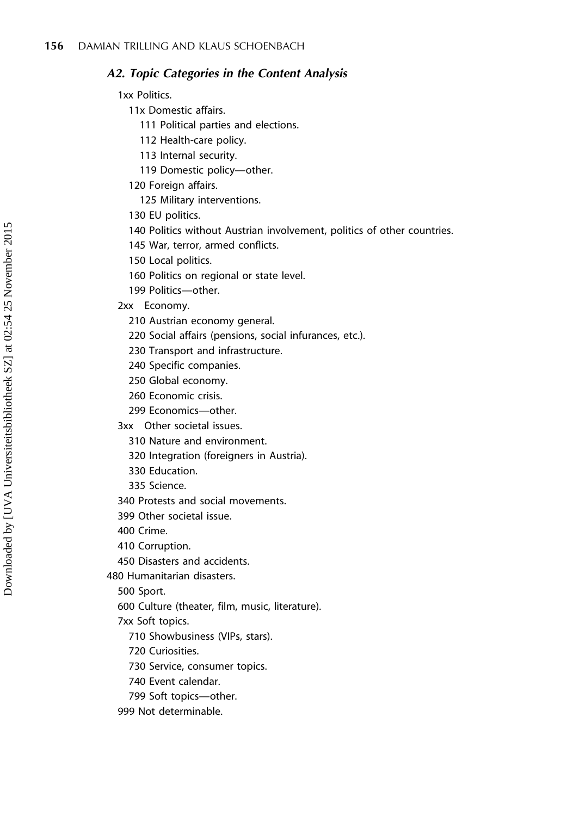#### A2. Topic Categories in the Content Analysis

1xx Politics.

- 11x Domestic affairs.
	- 111 Political parties and elections.
	- 112 Health-care policy.
	- 113 Internal security.
	- 119 Domestic policy—other.
- 120 Foreign affairs.
	- 125 Military interventions.
- 130 EU politics.
- 140 Politics without Austrian involvement, politics of other countries.
- 145 War, terror, armed conflicts.
- 150 Local politics.
- 160 Politics on regional or state level.
- 199 Politics—other.
- 2xx Economy.
	- 210 Austrian economy general.
	- 220 Social affairs (pensions, social infurances, etc.).
	- 230 Transport and infrastructure.
	- 240 Specific companies.
	- 250 Global economy.
	- 260 Economic crisis.
	- 299 Economics—other.
- 3xx Other societal issues.
	- 310 Nature and environment.
	- 320 Integration (foreigners in Austria).
	- 330 Education.
	- 335 Science.
- 340 Protests and social movements.
- 399 Other societal issue.
- 400 Crime.
- 410 Corruption.
- 450 Disasters and accidents.
- 480 Humanitarian disasters.

500 Sport.

- 600 Culture (theater, film, music, literature).
- 7xx Soft topics.
	- 710 Showbusiness (VIPs, stars).
	- 720 Curiosities.
	- 730 Service, consumer topics.
	- 740 Event calendar.
	- 799 Soft topics—other.
- 999 Not determinable.